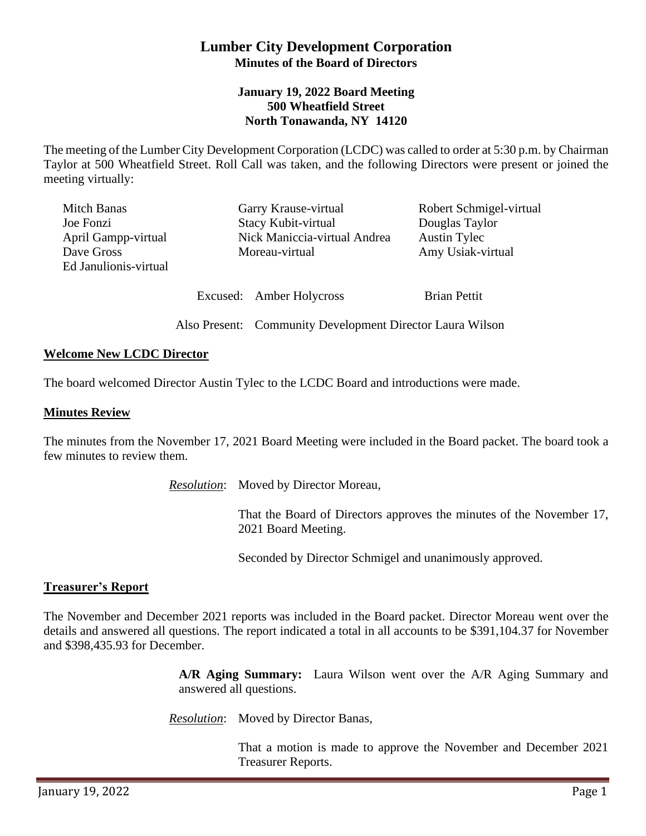# **Lumber City Development Corporation Minutes of the Board of Directors**

## **January 19, 2022 Board Meeting 500 Wheatfield Street North Tonawanda, NY 14120**

The meeting of the Lumber City Development Corporation (LCDC) was called to order at 5:30 p.m. by Chairman Taylor at 500 Wheatfield Street. Roll Call was taken, and the following Directors were present or joined the meeting virtually:

| Mitch Banas           | Garry Krause-virtual         | Robert Schmigel-virtual |
|-----------------------|------------------------------|-------------------------|
| Joe Fonzi             | Stacy Kubit-virtual          | Douglas Taylor          |
| April Gampp-virtual   | Nick Maniccia-virtual Andrea | <b>Austin Tylec</b>     |
| Dave Gross            | Moreau-virtual               | Amy Usiak-virtual       |
| Ed Janulionis-virtual |                              |                         |
|                       |                              |                         |
|                       | Excused: Amber Holycross     | <b>Brian Pettit</b>     |

Also Present: Community Development Director Laura Wilson

### **Welcome New LCDC Director**

The board welcomed Director Austin Tylec to the LCDC Board and introductions were made.

#### **Minutes Review**

The minutes from the November 17, 2021 Board Meeting were included in the Board packet. The board took a few minutes to review them.

*Resolution*: Moved by Director Moreau,

That the Board of Directors approves the minutes of the November 17, 2021 Board Meeting.

Seconded by Director Schmigel and unanimously approved.

#### **Treasurer's Report**

The November and December 2021 reports was included in the Board packet. Director Moreau went over the details and answered all questions. The report indicated a total in all accounts to be \$391,104.37 for November and \$398,435.93 for December.

> **A/R Aging Summary:** Laura Wilson went over the A/R Aging Summary and answered all questions.

*Resolution*: Moved by Director Banas,

That a motion is made to approve the November and December 2021 Treasurer Reports.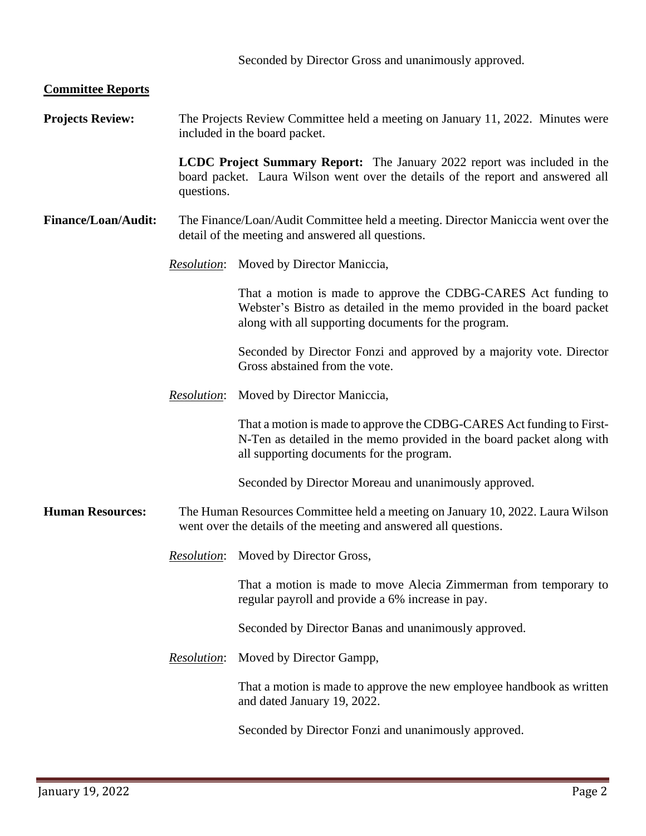#### **Committee Reports**

**Projects Review:** The Projects Review Committee held a meeting on January 11, 2022. Minutes were included in the board packet.

> **LCDC Project Summary Report:** The January 2022 report was included in the board packet. Laura Wilson went over the details of the report and answered all questions.

- **Finance/Loan/Audit:** The Finance/Loan/Audit Committee held a meeting. Director Maniccia went over the detail of the meeting and answered all questions.
	- *Resolution*: Moved by Director Maniccia,

That a motion is made to approve the CDBG-CARES Act funding to Webster's Bistro as detailed in the memo provided in the board packet along with all supporting documents for the program.

Seconded by Director Fonzi and approved by a majority vote. Director Gross abstained from the vote.

*Resolution*: Moved by Director Maniccia,

That a motion is made to approve the CDBG-CARES Act funding to First-N-Ten as detailed in the memo provided in the board packet along with all supporting documents for the program.

Seconded by Director Moreau and unanimously approved.

- **Human Resources:** The Human Resources Committee held a meeting on January 10, 2022. Laura Wilson went over the details of the meeting and answered all questions.
	- *Resolution*: Moved by Director Gross,

That a motion is made to move Alecia Zimmerman from temporary to regular payroll and provide a 6% increase in pay.

Seconded by Director Banas and unanimously approved.

*Resolution*: Moved by Director Gampp,

That a motion is made to approve the new employee handbook as written and dated January 19, 2022.

Seconded by Director Fonzi and unanimously approved.